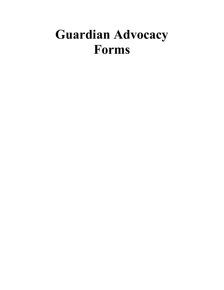# **Guardian Advocacy Forms**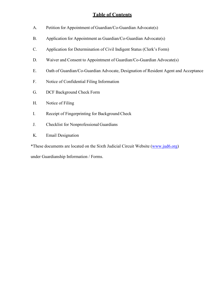# **Table of Contents**

- A. Petition for Appointment of Guardian/Co-Guardian Advocate(s)
- B. Application for Appointment as Guardian/Co-Guardian Advocate(s)
- C. Application for Determination of Civil Indigent Status (Clerk's Form)
- D. Waiver and Consent to Appointment of Guardian/Co-Guardian Advocate(s)
- E. Oath of Guardian/Co-Guardian Advocate, Designation of Resident Agent and Acceptance
- F. Notice of Confidential Filing Information
- G. DCF Background Check Form
- H. Notice of Filing
- I. Receipt of Fingerprinting for Background Check
- J. Checklist for Nonprofessional Guardians
- K. Email Designation

\*These documents are located on the Sixth Judicial Circuit Website (www.jud6.org)

under Guardianship Information / Forms.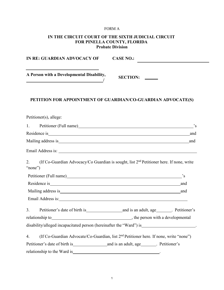## FORM A

# **IN THE CIRCUIT COURT OF THE SIXTH JUDICIAL CIRCUIT FOR PINELLA COUNTY, FLORIDA Probate Division**

| IN RE: GUARDIAN ADVOCACY OF                                               | <b>CASE NO.:</b>                                                                                                                                                                                                               |
|---------------------------------------------------------------------------|--------------------------------------------------------------------------------------------------------------------------------------------------------------------------------------------------------------------------------|
| A Person with a Developmental Disability,<br><u> Alexandria (m. 1888)</u> | SECTION:                                                                                                                                                                                                                       |
|                                                                           | PETITION FOR APPOINTMENT OF GUARDIAN/CO-GUARDIAN ADVOCATE(S)                                                                                                                                                                   |
| Petitioner(s), allege:                                                    |                                                                                                                                                                                                                                |
| 1.                                                                        | Petitioner (Full name) Same School and The School and The School and The School and The School and The School and The School and The School and The School and The School and The School and The School and The School and The |
|                                                                           |                                                                                                                                                                                                                                |
|                                                                           |                                                                                                                                                                                                                                |
|                                                                           |                                                                                                                                                                                                                                |
| 2.<br>"none")                                                             | (If Co-Guardian Advocacy/Co Guardian is sought, list 2 <sup>nd</sup> Petitioner here. If none, write                                                                                                                           |
|                                                                           | Petitioner (Full name) Santa Contract Contract Contract Contract Contract Contract Contract Contract Contract Contract Contract Contract Contract Contract Contract Contract Contract Contract Contract Contract Contract Cont |
|                                                                           |                                                                                                                                                                                                                                |
|                                                                           |                                                                                                                                                                                                                                |
|                                                                           | Email Address is: Note that the same state of the state of the state of the state of the state of the state of the state of the state of the state of the state of the state of the state of the state of the state of the sta |
| 3.                                                                        |                                                                                                                                                                                                                                |
|                                                                           |                                                                                                                                                                                                                                |
|                                                                           | disability/alleged incapacitated person (hereinafter the "Ward") is________________________.                                                                                                                                   |
| 4.                                                                        | (If Co-Guardian Advocate/Co-Guardian, list 2 <sup>nd</sup> Petitioner here. If none, write "none")                                                                                                                             |
|                                                                           |                                                                                                                                                                                                                                |
|                                                                           |                                                                                                                                                                                                                                |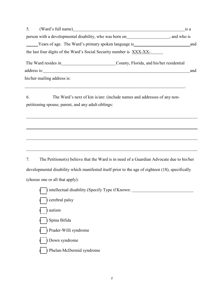| (Ward's full name)                                                   |                                          | 1S a |
|----------------------------------------------------------------------|------------------------------------------|------|
| person with a developmental disability, who was born on              | , and who is                             |      |
| Years of age. The Ward's primary spoken language is                  |                                          | and  |
| the last four digits of the Ward's Social Security number is XXX-XX- |                                          |      |
| The Ward resides in                                                  | County, Florida, and his/her residential |      |
| address is:                                                          |                                          | and  |
| his/her mailing address is:                                          |                                          |      |

.

6. The Ward's next of kin is/are: (include names and addresses of any nonpetitioning spouse, parent, and any adult siblings:

7. The Petitioner(s) believe that the Ward is in need of a Guardian Advocate due to his/her developmental disability which manifested itself prior to the age of eighteen (18), specifically (choose one or all that apply):

| intellectual disability (Specify Type if Known: _ |
|---------------------------------------------------|
| cerebral palsy                                    |
| autism                                            |
| Spina Bifida                                      |
| Prader-Willi syndrome                             |
| Down syndrome                                     |
| Delan-McDermid syndrome                           |
|                                                   |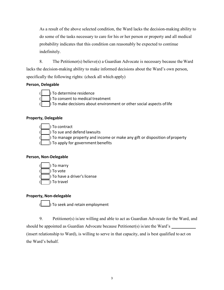As a result of the above selected condition, the Ward lacks the decision-making ability to do some of the tasks necessary to care for his or her person or property and all medical probability indicates that this condition can reasonably be expected to continue indefinitely.

8. The Petitioner(s) believe(s) a Guardian Advocate is necessary because theWard lacks the decision-making ability to make informed decisions about the Ward's own person, specifically the following rights: (check all which apply)

# **Person, Delegable**



( ) To determine residence ) To consent to medical treatment  $\int$  To make decisions about environment or other social aspects of life

# **Property, Delegable**



To contract

) To sue and defend lawsuits

) To manage property and income or make any gift or disposition of property

 $\overline{\phantom{a}}$  $\vert$ ) To apply for government benefits

# **Person, Non-Delegable**



# **Property, Non-delegable**

 $\overline{\phantom{a}}$  $\parallel$ ) To seek and retain employment

9. Petitioner(s) is/are willing and able to act as Guardian Advocate for the Ward, and should be appointed as Guardian Advocate because Petitioner(s) is/are the Ward's (insert relationship to Ward), is willing to serve in that capacity, and is best qualified to act on the Ward's behalf.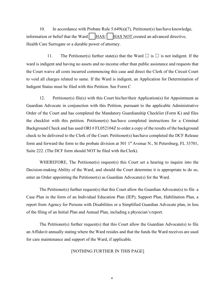10. In accordance with Probate Rule 5.649(a)(7), Petitioner(s) has/have knowledge, information or belief that the Ward  $\vert$   $\vert$  HAS*/* HAS NOT created an advanced directive, Health Care Surrogate or a durable power of attorney.

11. The Petitioner(s) further state(s) that the Ward  $\Box$  is  $\Box$  is not indigent. If the ward is indigent and having no assets and no income other than public assistance and requests that the Court waive all costs incurred commencing this case and direct the Clerk of the Circuit Court to void all charges related to same. If the Ward is indigent, an Application for Determination of Indigent Status must be filed with this Petition. See Form C

12. Petitioner(s) file(s) with this Court his/her/their Application(s) for Appointment as Guardian Advocate in conjunction with this Petition, pursuant to the applicable Administrative Order of the Court and has completed the Mandatory Guardianship Checklist (Form K) and files the checklist with this petition. Petitioner(s) has/have completed instructions for a Criminal Background Check and has used ORI # FL052104Z to order a copy of the results of the background check to be delivered to the Clerk of the Court. Petitioner(s) has/have completed the DCF Release form and forward the form to the probate division at 501  $1<sup>st</sup>$  Avenue N., St Petersburg, FL 33701, Suite 222. (The DCF form should NOT be filed with theClerk).

WHEREFORE, The Petitioner(s) request(s) this Court set a hearing to inquire into the Decision-making Ability of the Ward, and should the Court determine it is appropriate to do so, enter an Order appointing the Petitioner(s) as Guardian Advocate(s) for the Ward.

The Petitioner(s) further request(s) that this Court allow the Guardian Advocate(s) to file a Case Plan in the form of an Individual Education Plan (IEP), Support Plan, Habilitation Plan, a report from Agency for Persons with Disabilities or a Simplified Guardian Advocate plan, in lieu of the filing of an Initial Plan and Annual Plan, including a physician'sreport.

The Petitioner(s) further request(s) that this Court allow the Guardian Advocate(s) to file an Affidavit annually stating where the Ward resides and that the funds the Ward receives are used for care maintenance and support of the Ward, if applicable.

#### [NOTHING FURTHER IN THIS PAGE]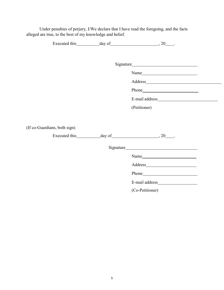Under penalties of perjury, I/We declare that I have read the foregoing, and the facts alleged are true, to the best of my knowledge and belief.

|                              | Address         |  |
|------------------------------|-----------------|--|
|                              |                 |  |
|                              |                 |  |
|                              | (Petitioner)    |  |
|                              |                 |  |
| (If co-Guardians, both sign) |                 |  |
|                              |                 |  |
|                              |                 |  |
|                              | Name            |  |
|                              |                 |  |
|                              | Phone Phone     |  |
|                              |                 |  |
|                              | (Co-Petitioner) |  |
|                              |                 |  |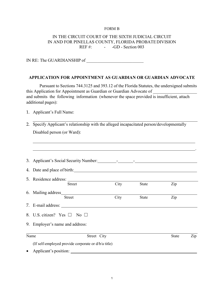#### FORM B

### IN THE CIRCUIT COURT OF THE SIXTH JUDICIAL CIRCUIT IN AND FOR PINELLAS COUNTY, FLORIDA PROBATEDIVISION REF  $\#$ : - -GD - Section 003

IN RE: The GUARDIANSHIP of

#### **APPLICATION FOR APPOINTMENT AS GUARDIAN OR GUARDIAN ADVOCATE**

Pursuant to Sections 744.3125 and 393.12 of the Florida Statutes, the undersigned submits this Application for Appointment as Guardian or Guardian Advocate of and submits the following information (whenever the space provided is insufficient, attach additional pages):

1. Applicant's Full Name:

2. Specify Applicant's relationship with the alleged incapacitated person/developmentally Disabled person (or Ward):

| Name                                  | Street City |       | State | Zip |
|---------------------------------------|-------------|-------|-------|-----|
| 9. Employer's name and address:       |             |       |       |     |
| 8. U.S. citizen? Yes $\Box$ No $\Box$ |             |       |       |     |
|                                       |             |       |       |     |
| 6. Mailing address<br><b>Street</b>   | City        | State | Zip   |     |
| <b>Street</b>                         | City        | State | Zip   |     |
|                                       |             |       |       |     |
|                                       |             |       |       |     |
|                                       |             |       |       |     |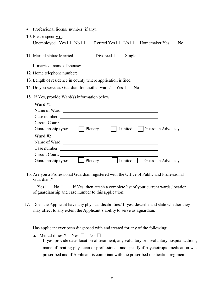| $\bullet$                                                                                                                                                                 |
|---------------------------------------------------------------------------------------------------------------------------------------------------------------------------|
| 10. Please specify if:                                                                                                                                                    |
| Unemployed Yes $\Box$ No $\Box$ Retired Yes $\Box$ No $\Box$ Homemaker Yes $\Box$ No $\Box$                                                                               |
| 11. Marital status: Married $\Box$<br>Divorced $\Box$ Single $\Box$                                                                                                       |
|                                                                                                                                                                           |
|                                                                                                                                                                           |
| 13. Length of residence in county where application is filed: __________________                                                                                          |
| 14. Do you serve as Guardian for another ward? Yes $\square$ No $\square$                                                                                                 |
| 15. If Yes, provide Ward(s) information below:                                                                                                                            |
| Ward #1                                                                                                                                                                   |
|                                                                                                                                                                           |
|                                                                                                                                                                           |
|                                                                                                                                                                           |
| Guardianship type: Plenary   Limited Guardian Advocacy                                                                                                                    |
| Ward #2                                                                                                                                                                   |
|                                                                                                                                                                           |
|                                                                                                                                                                           |
|                                                                                                                                                                           |
| Guardianship type: Denary Limited Guardian Advocacy                                                                                                                       |
| 16. Are you a Professional Guardian registered with the Office of Public and Professional<br>Guardians?                                                                   |
| If Yes, then attach a complete list of your current wards, location<br>Yes $\Box$<br>$\mathbb N$ o $\mathbb L$<br>of guardianship and case number to this application.    |
| 17. Does the Applicant have any physical disabilities? If yes, describe and state whether they<br>may affect to any extent the Applicant's ability to serve as aguardian. |
| Has applicant ever been diagnosed with and treated for any of the following:                                                                                              |
| Mental illness?<br>Yes $\square$<br>No $\square$<br>a.<br>If yes, provide date, location of treatment, any voluntary or involuntary hospitalizations,                     |
| name of treating physician or professional, and specify if psychotropic medication was                                                                                    |

prescribed and if Applicant is compliant with the prescribed medication regimen: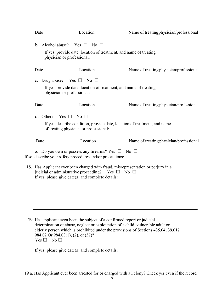| Date               | Location                                                                                                                        | Name of treating physician/professional                                                                                                                               |
|--------------------|---------------------------------------------------------------------------------------------------------------------------------|-----------------------------------------------------------------------------------------------------------------------------------------------------------------------|
|                    | b. Alcohol abuse? Yes $\square$ No $\square$                                                                                    |                                                                                                                                                                       |
|                    | If yes, provide date, location of treatment, and name of treating<br>physician or professional.                                 |                                                                                                                                                                       |
| Date               | Location                                                                                                                        | Name of treating physician/professional                                                                                                                               |
| C.                 | Drug abuse? Yes $\square$ No $\square$                                                                                          |                                                                                                                                                                       |
|                    | If yes, provide date, location of treatment, and name of treating<br>physician or professional:                                 |                                                                                                                                                                       |
| Date               | Location                                                                                                                        | Name of treating physician/professional                                                                                                                               |
| d. Other?          | $Yes \Box$<br>No $\Box$                                                                                                         |                                                                                                                                                                       |
|                    | of treating physician or professional:                                                                                          | If yes, describe condition, provide date, location of treatment, and name                                                                                             |
| Date               | Location                                                                                                                        | Name of treating physician/professional                                                                                                                               |
|                    | e. Do you own or possess any firearms? Yes $\square$ No $\square$<br>If so, describe your safety procedures and/or precautions: |                                                                                                                                                                       |
|                    | judicial or administrative proceeding? Yes $\Box$ No $\Box$<br>If yes, please give date(s) and complete details:                | 18. Has Applicant ever been charged with fraud, misrepresentation or perjury in a                                                                                     |
|                    |                                                                                                                                 |                                                                                                                                                                       |
|                    |                                                                                                                                 |                                                                                                                                                                       |
| $Yes \Box No \Box$ | 19. Has applicant even been the subject of a confirmed report or judicial<br>984.02 Or 984.03(1), (2), or (37)?                 | determination of abuse, neglect or exploitation of a child, vulnerable adult or<br>elderly person which is prohibited under the provisions of Sections 435.04, 39.01? |
|                    | If yes, please give date(s) and complete details:                                                                               |                                                                                                                                                                       |

19 a. Has Applicant ever been arrested for or charged with a Felony? Check yes even if the record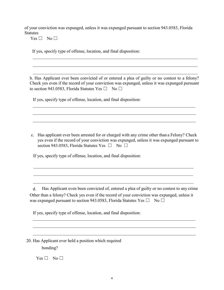of your conviction was expunged, unless it was expunged pursuant to section 943.0583, Florida **Statutes** 

 $Yes \Box No \Box$ 

If yes, specify type of offense, location, and final disposition:

b. Has Applicant ever been convicted of or entered a plea of guilty or no contest to a felony? Check yes even if the record of your conviction was expunged, unless it was expunged pursuant to section 943.0583, Florida Statutes Yes  $\square$  No  $\square$ 

If yes, specify type of offense, location, and final disposition:

c. Has applicant ever been arrested for or charged with any crime other than a Felony? Check yes even if the record of your conviction was expunged, unless it was expunged pursuant to section 943.0583, Florida Statutes Yes  $\Box$  No  $\Box$ 

If yes, specify type of offense, location, and final disposition:

d. Has Applicant even been convicted of, entered a plea of guilty or no contest to any crime Other than a felony? Check yes even if the record of your conviction was expunged, unless it was expunged pursuant to section 943.0583, Florida Statutes Yes  $\square$  No  $\square$ 

<u> 1980 - Johann Stoff, deutscher Stoff, deutscher Stoff, der Stoff, der Stoff, der Stoff, der Stoff, der Stoff</u>

If yes, specify type of offense, location, and final disposition:

20. Has Applicant ever held a position which required bonding?

 $Yes \Box No \Box$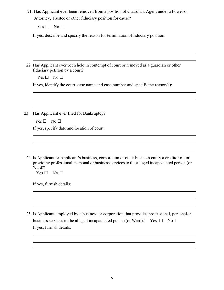|     | $Yes \Box No \Box$                                                                                                                                                                                                                       |
|-----|------------------------------------------------------------------------------------------------------------------------------------------------------------------------------------------------------------------------------------------|
|     | If yes, describe and specify the reason for termination of fiduciary position:                                                                                                                                                           |
|     |                                                                                                                                                                                                                                          |
|     | 22. Has Applicant ever been held in contempt of court or removed as a guardian or other<br>fiduciary petition by a court?                                                                                                                |
|     | $Yes \Box No \Box$                                                                                                                                                                                                                       |
|     | If yes, identify the court, case name and case number and specify the reason(s):                                                                                                                                                         |
| 23. | Has Applicant ever filed for Bankruptcy?<br>$Yes \Box No \Box$                                                                                                                                                                           |
|     | If yes, specify date and location of court:                                                                                                                                                                                              |
|     | 24. Is Applicant or Applicant's business, corporation or other business entity a creditor of, or<br>providing professional, personal or business services to the alleged incapacitated person (or<br>Ward)?<br>Yes $\Box$<br>$No\square$ |
|     | If yes, furnish details:                                                                                                                                                                                                                 |
|     | 25. Is Applicant employed by a business or corporation that provides professional, personal or<br>business services to the alleged incapacitated person (or Ward)?<br>No $\square$<br>Yes $\Box$                                         |
|     | If yes, furnish details:                                                                                                                                                                                                                 |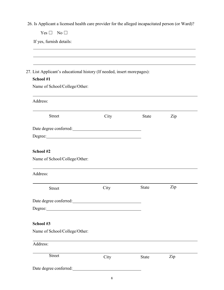26. Is Applicant a licensed health care provider for the alleged incapacitated person (or Ward)?

<u> 1989 - Johann Stoff, deutscher Stoffen und der Stoffen und der Stoffen und der Stoffen und der Stoffen und der</u>

 $Yes \Box No \Box$ 

If yes, furnish details:

| School #1                                                                                                                                                                                                                           |                                                                                                                                                                                                                                      |              |     |
|-------------------------------------------------------------------------------------------------------------------------------------------------------------------------------------------------------------------------------------|--------------------------------------------------------------------------------------------------------------------------------------------------------------------------------------------------------------------------------------|--------------|-----|
| Name of School/College/Other:                                                                                                                                                                                                       |                                                                                                                                                                                                                                      |              |     |
| Address:                                                                                                                                                                                                                            |                                                                                                                                                                                                                                      |              |     |
| <b>Street</b>                                                                                                                                                                                                                       | City                                                                                                                                                                                                                                 | <b>State</b> | Zip |
| Date degree conferred:<br><u>Date</u> degree conferred:                                                                                                                                                                             |                                                                                                                                                                                                                                      |              |     |
| Degree: <u>Degree</u> and the second state of the second state of the second state of the second state of the second state of the second state of the second state of the second state of the second state of the second state of t |                                                                                                                                                                                                                                      |              |     |
| School #2                                                                                                                                                                                                                           |                                                                                                                                                                                                                                      |              |     |
| Name of School/College/Other:                                                                                                                                                                                                       |                                                                                                                                                                                                                                      |              |     |
| Address:                                                                                                                                                                                                                            |                                                                                                                                                                                                                                      |              |     |
| <b>Street</b>                                                                                                                                                                                                                       | City                                                                                                                                                                                                                                 | <b>State</b> | Zip |
| Date degree conferred:<br><u>Date</u> degree conferred:                                                                                                                                                                             |                                                                                                                                                                                                                                      |              |     |
|                                                                                                                                                                                                                                     | Degree: <u>with the contract of the contract of the contract of the contract of the contract of the contract of the contract of the contract of the contract of the contract of the contract of the contract of the contract of </u> |              |     |

# **School #3**

Name of School/College/Other:

| <b>Street</b>          | City | <b>State</b> | Zip |  |
|------------------------|------|--------------|-----|--|
| Date degree conferred: |      |              |     |  |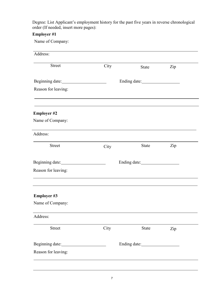Degree: List Applicant's employment history for the past five years in reverse chronological order (If needed, insert more pages):

# **Employer #1**

Name of Company:

| Address:            |                                         |       |     |
|---------------------|-----------------------------------------|-------|-----|
| <b>Street</b>       | City                                    | State | Zip |
|                     |                                         |       |     |
| Reason for leaving: |                                         |       |     |
| <b>Employer #2</b>  |                                         |       |     |
| Name of Company:    |                                         |       |     |
| Address:            |                                         |       |     |
| <b>Street</b>       | City                                    | State | Zip |
|                     | Ending date: <u>_______________</u> ___ |       |     |
| Reason for leaving: |                                         |       |     |
| <b>Employer #3</b>  |                                         |       |     |
| Name of Company:    |                                         |       |     |
| Address:            |                                         |       |     |
| <b>Street</b>       | City                                    | State | Zip |
| Beginning date:     |                                         |       |     |
| Reason for leaving: |                                         |       |     |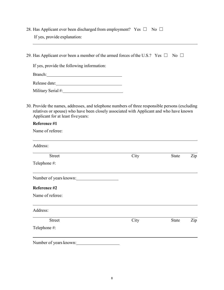| 28. Has Applicant ever been discharged from employment? Yes $\Box$ No $\Box$ |  |  |
|------------------------------------------------------------------------------|--|--|
| If yes, provide explanation:                                                 |  |  |

29. Has Applicant ever been a member of the armed forces of the U.S.? Yes  $\Box$  No  $\Box$ 

If yes, provide the following information:

Branch: <u> 1980 - Johann Barbara, martxa alemaniar a</u>

Release date:

Military Serial #:

30. Provide the names, addresses, and telephone numbers of three responsible persons (excluding relatives or spouse) who have been closely associated with Applicant and who have known Applicant for at least fiveyears:

# **Reference #1**

Name of referee:

| Number of years known: |       |     |
|------------------------|-------|-----|
|                        |       |     |
|                        |       |     |
|                        |       |     |
| City                   | State | Zip |
|                        |       |     |
|                        |       |     |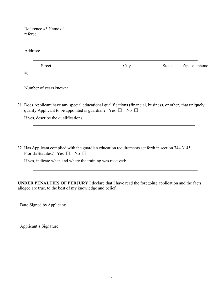Reference #3 Name of referee:

| <b>Street</b>                                                                                                                                                                                                                                                |                                                                           | City | <b>State</b> | Zip Telephone |
|--------------------------------------------------------------------------------------------------------------------------------------------------------------------------------------------------------------------------------------------------------------|---------------------------------------------------------------------------|------|--------------|---------------|
| $#$ :                                                                                                                                                                                                                                                        |                                                                           |      |              |               |
|                                                                                                                                                                                                                                                              | Number of years known:                                                    |      |              |               |
|                                                                                                                                                                                                                                                              |                                                                           |      |              |               |
| If yes, describe the qualifications:                                                                                                                                                                                                                         | qualify Applicant to be appointed as guardian? Yes $\square$ No $\square$ |      |              |               |
|                                                                                                                                                                                                                                                              |                                                                           |      |              |               |
| 31. Does Applicant have any special educational qualifications (financial, business, or other) that uniquely<br>32. Has Applicant complied with the guardian education requirements set forth in section 744.3145,<br>Florida Statutes? Yes $\Box$ No $\Box$ |                                                                           |      |              |               |

**UNDER PENALTIES OF PERJURY** I declare that I have read the foregoing application and the facts alleged are true, to the best of my knowledge and belief.

Date Signed by Applicant:

Applicant's Signature: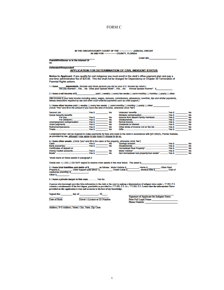#### FORM C

IN THE CIRCUIT/COUNTY COURT OF THE -- JUDICIAL CIRCUIT IN AND FOR --- COUNTY, FLORIDA

**CASE NO.** 

Defendant//Respondent

Plaintiff/Petitioner or in the interest Of

#### **APPLICATION FOR DETERMINATION OF CIVIL INDIGENT STATUS**

Notice to Applicant: If you qualify for civil indigence you must enroll in the clerk's office payment plan and pay a<br>one-time administrative fee of \$25.00. This fee shall not be charged for Dependency or Chapter 39 Termina Parental Rights actions.

dependents. (include only those persons you list on your U.S. Income tax return.)<br>Are you Married?...Yes....No Does your Spouse Work?...Yes....No Annual Spouse Income? \$ 1. I have

2. I have a net income of \$ \_\_ paid ( ) weekly ( ) every two weeks ( ) semi-monthly ( ) monthly ( ) yearly ( ) other

(Net income is your total income including salary, wages, bonuses, commissions, allowances, overtime, tips and similar payments,<br>minus deductions required by law and other court-ordered payments such as child support.)

3. I have other income paid ( ) weekly ( ) every two weeks ( ) semi-monthly ( ) monthly ( ) yearly ( ) other \_<br>(Circle "Yes" and fill in the amount if you have this kind of income, otherwise circle "No")

|                                                                                                                                                                                                                                      | No |
|--------------------------------------------------------------------------------------------------------------------------------------------------------------------------------------------------------------------------------------|----|
| <b>Social Security benefits</b>                                                                                                                                                                                                      |    |
|                                                                                                                                                                                                                                      | No |
| For child(ren)  Yes \$                                                                                                                                                                                                               | No |
| Unemployment compensation  Yes \$                                                                                                                                                                                                    | No |
|                                                                                                                                                                                                                                      | No |
|                                                                                                                                                                                                                                      | No |
| <b>Trusts West Street Contract Street Street Street Street Street Street Street Street Street Street Street Street Street Street Street Street Street Street Street Street Street Street Street Street Street Street Street Stre</b> | No |

|                                                                                                               |       | No |
|---------------------------------------------------------------------------------------------------------------|-------|----|
|                                                                                                               |       | No |
| Income from absent family members  Yes \$                                                                     |       | No |
|                                                                                                               |       | No |
| Rental Income experience and the Ves S                                                                        |       | No |
|                                                                                                               |       | No |
|                                                                                                               |       | No |
| Gifts and the contract of the contract of the contract of the contract of the contract of the contract of the | Yes S | No |

I understand that I will be required to make payments for fees and costs to the cierk in accordance with §57.082(5), Florida Statutes,<br>as provided by law, <u>although I may agree to pay more if I choose to do so.</u>

#### 4. I have other assets: (Circle "yes" and fill in the value of the property, otherwise circle "No")

| <b>Cash</b>                | Yes S | No | sawin        |
|----------------------------|-------|----|--------------|
|                            | Yes S | No | <b>Stock</b> |
| Certificates of deposit or |       |    | Home         |
| money market accounts      | Yes S | No | Motor        |
| Boats"                     | Yes S | No | Non-I        |

| Savings account.                         | .Yes S | No |
|------------------------------------------|--------|----|
| Stocks/bonds                             | Yes S  | No |
| Homestead Real Property"                 | .Yes S | No |
| Motor Vehicle".                          | Yes S  | No |
| Non-homestead real property/real estate" | Yes S. | No |

"show loans on these assets in paragraph 5

Check one: I ( ) DO ( ) DO NOT expect to receive more assets in the near future. The asset is

| 5. I have total liabilities and debts of \$ |                              | as follows: Motor Vehicle \$ | Home \$ | <b>Other Real</b>                 |
|---------------------------------------------|------------------------------|------------------------------|---------|-----------------------------------|
| <b>Property S</b>                           | Child Support paid direct \$ | <b>Credit Cards \$</b>       |         | Cost of<br><b>Medical Bills S</b> |
| medicines (monthly) \$                      |                              |                              |         |                                   |

Other \$

6. I have a private lawyer in this case............ Yes No

A person who knowingly provides false information to the clerk or the court in seeking a determination of indigent status under s. 57.082, F.S.<br>commits a misdemeanor of the first degree, punishable as provided in s.775.082

Signed this day of  $, 20$ 

Driver's License or ID Number Date of Birth

| Signature of Applicant for Indigent Status |  |
|--------------------------------------------|--|
| Print Full Legal Name                      |  |
| <b>Phone Number:</b>                       |  |

Address, P O Address, Street, City, State, Zip Code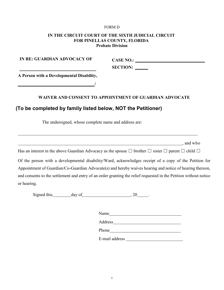#### FORM D

# **IN THE CIRCUIT COURT OF THE SIXTH JUDICIAL CIRCUIT FOR PINELLAS COUNTY, FLORIDA Probate Division**

**IN RE: GUARDIAN ADVOCACY OF**

**CASE NO.: SECTION:** 

**A Person with a Developmental Disability,**

**/**

# **WAIVER AND CONSENT TO APPOINTMENT OF GUARDIAN ADVOCATE**

# **(To be completed by family listed below, NOT the Petitioner)**

The undersigned, whose complete name and address are:

, and who

Has an interest in the above Guardian Advocacy as the spouse  $\Box$  brother  $\Box$  sister  $\Box$  parent  $\Box$  child  $\Box$ 

Of the person with a developmental disability/Ward, acknowledges receipt of a copy of the Petition for Appointment of Guardian/Co-Guardian Advocate(s) and hereby waives hearing and notice of hearing thereon, and consents to the settlement and entry of an order granting the relief requested in the Petition without notice or hearing.

Signed this day of , 20 .

Name and the set of the set of the set of the set of the set of the set of the set of the set of the set of the set of the set of the set of the set of the set of the set of the set of the set of the set of the set of the

Address

E-mail address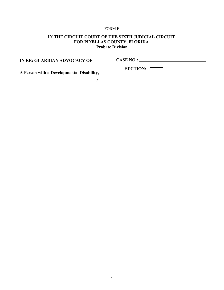#### FORM E

# **IN THE CIRCUIT COURT OF THE SIXTH JUDICIAL CIRCUIT FOR PINELLAS COUNTY, FLORIDA Probate Division**

**IN RE: GUARDIAN ADVOCACY OF**

**CASE NO.:**

**A Person with a Developmental Disability,**

**SECTION:** 

**/**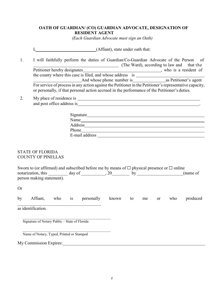#### **OATH OF GUARDIAN/ (CO) GUARDIAN ADVOCATE, DESIGNATION OF RESIDENT AGENT**

*(Each Guardian Advocate must sign an Oath)*

I, (Affiant), state under oath that:

1. I will faithfully perform the duties of Guardian/Co-Guardian Advocate of the Person of (The Ward), according to law and that the

Petitioner hereby designates , who is a resident of the county where this case is filed, and whose address is And whose phone number is as Petitioner's agent For service of process in any action against the Petitioner in the Petitioner's representative capacity, or personally, if that personal action accrued in the performance of the Petitioner's duties.

2. My place of residence is and post office address is **and post office address is** 

| Signature      |  |  |
|----------------|--|--|
| Name           |  |  |
| Address        |  |  |
| Phone          |  |  |
| E-mail address |  |  |

# STATE OF FLORIDA COUNTY OF PINELLAS

| Sworn to (or affirmed) and subscribed before me by means of $\Box$ physical presence or $\Box$ online |        |  |          |
|-------------------------------------------------------------------------------------------------------|--------|--|----------|
| notarization, this                                                                                    | day of |  | (name of |
| person making statement).                                                                             |        |  |          |

Or

|  | by | Affiant, | who | <b>1S</b> | personally | known |  | me |  | who | produced |
|--|----|----------|-----|-----------|------------|-------|--|----|--|-----|----------|
|--|----|----------|-----|-----------|------------|-------|--|----|--|-----|----------|

as identification.

 $\mathcal{L}_\text{max} = \mathcal{L}_\text{max} = \mathcal{L}_\text{max} = \mathcal{L}_\text{max} = \mathcal{L}_\text{max} = \mathcal{L}_\text{max} = \mathcal{L}_\text{max} = \mathcal{L}_\text{max} = \mathcal{L}_\text{max} = \mathcal{L}_\text{max} = \mathcal{L}_\text{max} = \mathcal{L}_\text{max} = \mathcal{L}_\text{max} = \mathcal{L}_\text{max} = \mathcal{L}_\text{max} = \mathcal{L}_\text{max} = \mathcal{L}_\text{max} = \mathcal{L}_\text{max} = \mathcal{$ Signature of Notary Public – State of Florida

\_\_\_\_\_\_\_\_\_\_\_\_\_\_\_\_\_\_\_\_\_\_\_\_\_\_\_\_\_\_\_\_\_\_\_\_\_\_

 $\mathcal{L}_\text{max} = \mathcal{L}_\text{max} = \mathcal{L}_\text{max} = \mathcal{L}_\text{max} = \mathcal{L}_\text{max} = \mathcal{L}_\text{max} = \mathcal{L}_\text{max} = \mathcal{L}_\text{max} = \mathcal{L}_\text{max} = \mathcal{L}_\text{max} = \mathcal{L}_\text{max} = \mathcal{L}_\text{max} = \mathcal{L}_\text{max} = \mathcal{L}_\text{max} = \mathcal{L}_\text{max} = \mathcal{L}_\text{max} = \mathcal{L}_\text{max} = \mathcal{L}_\text{max} = \mathcal{$ Name of Notary, Typed, Printed or Stamped

My Commission Expires: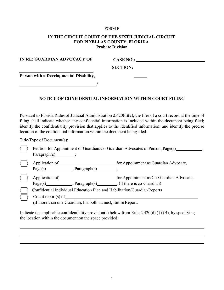#### FORM F

#### **IN THE CIRCUIT COURT OF THE SIXTH JUDICIAL CIRCUIT FOR PINELLAS COUNTY, FLORIDA Probate Division**

| IN RE: GUARDIAN ADVOCACY OF             | <b>CASE NO.:</b> |  |
|-----------------------------------------|------------------|--|
|                                         | <b>SECTION:</b>  |  |
| Person with a Developmental Disability, |                  |  |
|                                         |                  |  |

#### **NOTICE OF CONFIDENTIAL INFORMATION WITHIN COURT FILING**

Pursuant to Florida Rules of Judicial Administration 2.420(d)(2), the filer of a court record at the time of filing shall indicate whether any confidential information is included within the document being filed; identify the confidentiality provision that applies to the identified information; and identify the precise location of the confidential information within the document being filed.

Title/Type of Document(s):

| $\parallel \quad$ Petition for Appointment of Guardian/Co-Guardian Advocates of Person, Page(s) |  |
|-------------------------------------------------------------------------------------------------|--|
| Paragraph $(s)$                                                                                 |  |

( ) Application of hermanic as Guardian Advocate,  $Page(s)$  , Paragraph(s)  $\qquad \qquad$ ;

( $\parallel$ ) Application of  $\blacksquare$  for Appointment as Co-Guardian Advocate,  $Page(s)$  , Paragraph(s) ; (if there is co-Guardian)

( ) Confidential Individual Education Plan and Habilitation/GuardianReports

 $\pmb{\mathfrak{h}}$ ( Credit report(s) of (if more than one Guardian, list both names), Entire Report.

Indicate the applicable confidentiality provision(s) below from Rule 2.420(d) (1) (B), by specifying

the location within the document on the space provided: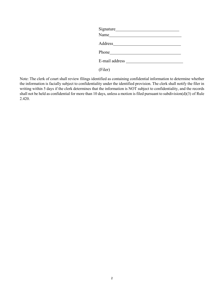| Name $\frac{1}{\sqrt{1-\frac{1}{2}} \cdot \frac{1}{2}}$ |  |
|---------------------------------------------------------|--|
|                                                         |  |
| Phone Phone                                             |  |
| E-mail address <u>E-mail</u>                            |  |

(Filer)

Note: The clerk of court shall review filings identified as containing confidential information to determine whether the information is facially subject to confidentiality under the identified provision. The clerk shall notify the filer in writing within 5 days if the clerk determines that the information is NOT subject to confidentiality, and the records shall not be held as confidential for more than 10 days, unless a motion is filed pursuant to subdivision(d)(3) of Rule 2.420.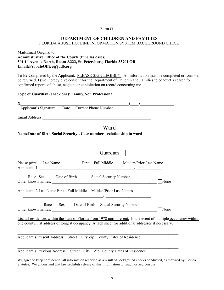#### Form G

#### **DEPARTMENT OF CHILDREN AND FAMILIES** FLORIDA ABUSE HOTLINE INFORMATION SYSTEM BACKGROUND CHECK

#### Mail/Email Original to**: Administrative Office of the Courts (Pinellas cases) 501 1st Avenue North, Room A222, St. Petersburg, Florida 33701 OR Email:ProbateOffice@jud6.org**

To Be Completed by the Applicant: PLEASE SIGN LEGIBLY. All information must be completed or form will be returned. I (we) hereby give consent for the Department of Children and Families to conduct a search for confirmed reports of abuse, neglect, or exploitation on record concerning me.

#### **Type of Guardian (check one): Family/Non Professional**

| X                                                                                                                                                                                                                        |
|--------------------------------------------------------------------------------------------------------------------------------------------------------------------------------------------------------------------------|
| Applicant's Signature Date Current Phone Number                                                                                                                                                                          |
|                                                                                                                                                                                                                          |
| Ward<br>Name Date of Birth Social Security #Case number relationship to ward<br>,我们也不能在这里的人,我们也不能在这里的人,我们也不能不能不能不能不能不能不能不能不能不能不能。""我们的人,我们也不能不能不能不能不能不能不能不能不能不能不                                                         |
| Guardian                                                                                                                                                                                                                 |
| Please print Last Name First Full Middle Maiden/Prior Last Name                                                                                                                                                          |
| Race Sex Date of Birth Social Security Number<br>None                                                                                                                                                                    |
| Applicant: 2. Last Name First Full Middle Maiden/Prior Last Names<br><u> 1990 - Johann Barbara, martin a</u>                                                                                                             |
| Race Sex Date of Birth Social Security Number<br>None                                                                                                                                                                    |
| List all residences within the state of Florida from 1978 until present. In the event of multiple occupancy within<br>one county, list address of longest occupancy. Attach sheet for additional addresses if necessary. |
| Applicant's Present Address Street City Zip County Dates of Residence                                                                                                                                                    |

Applicant's Previous Address Street City Zip County Dates of Residence

We agree to keep confidential all information received as a result of background checks conducted, as required by Florida Statutes. We understand that law prohibits release of this information to unauthorized persons.

 $\_$  , and the set of the set of the set of the set of the set of the set of the set of the set of the set of the set of the set of the set of the set of the set of the set of the set of the set of the set of the set of th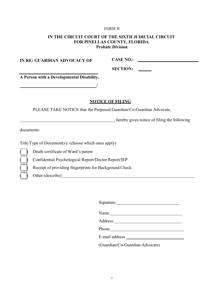#### FORM H

## **IN THE CIRCUIT COURT OF THE SIXTH JUDICIAL CIRCUIT FOR PINELLAS COUNTY, FLORIDA Probate Division**

**IN RE: GUARDIAN ADVOCACY OF**

**CASE NO.:**

**SECTION:**

**A Person with a Developmental Disability,**

#### **NOTICE OF FILING**

PLEASE TAKE NOTICE that the Proposed Guardian/Co-Guardian Advocate,

**/**

, hereby gives notice of filing the following

documents:

Title/Type of Document(s): (choose which ones apply)

Death certificate of Ward's parent

Confidential Psychological Report/Doctor Report/IEP

Receipt of providing fingerprints for Background Check

( ) Other (describe):

Signature

Name Name and the second state of the second state of the second state of the second state of the second state of the second state of the second state of the second state of the second state of the second state of the seco

Address

Phone

E-mail address

(Guardian/Co-Guardian Advocate)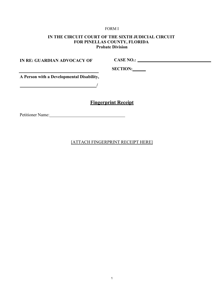#### FORM I

# **IN THE CIRCUIT COURT OF THE SIXTH JUDICIAL CIRCUIT FOR PINELLAS COUNTY, FLORIDA Probate Division**

**IN RE: GUARDIAN ADVOCACY OF**

**CASE NO.:** 

**SECTION:**

**A Person with a Developmental Disability,**

**/**

# **Fingerprint Receipt**

Petitioner Name:

[ATTACH FINGERPRINT RECEIPT HERE]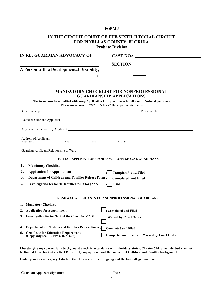#### FORM J

| IN THE CIRCUIT COURT OF THE SIXTH JUDICIAL CIRCUIT<br>FOR PINELLAS COUNTY, FLORIDA<br><b>Probate Division</b>                                                                                                                       |
|-------------------------------------------------------------------------------------------------------------------------------------------------------------------------------------------------------------------------------------|
| IN RE: GUARDIAN ADVOCACY OF                                                                                                                                                                                                         |
| <b>SECTION:</b>                                                                                                                                                                                                                     |
| A Person with a Developmental Disability,                                                                                                                                                                                           |
|                                                                                                                                                                                                                                     |
|                                                                                                                                                                                                                                     |
| MANDATORY CHECKLIST FOR NONPROFESSIONAL<br><b>GUARDIANSHIP APPLICATIONS</b>                                                                                                                                                         |
| The form must be submitted with every Application for Appointment for all nonprofessional guardians.<br>Please make sure to "X" or "check" the appropriate boxes.                                                                   |
| Guardianship of Reference #                                                                                                                                                                                                         |
| Name of Guardian Applicant <u>Contract Communications</u> and Contract Contract Contract Contract Contract Contract Contract Contract Contract Contract Contract Contract Contract Contract Contract Contract Contract Contract Con |
| Any other name used by Applicant example of the state of the state of the state of the state of the state of the state of the state of the state of the state of the state of the state of the state of the state of the state      |
|                                                                                                                                                                                                                                     |
| Zip Code                                                                                                                                                                                                                            |
|                                                                                                                                                                                                                                     |
| <b>INITIAL APPLICATIONS FOR NONPROFESSIONAL GUARDIANS</b>                                                                                                                                                                           |
| 1.<br><b>Mandatory Checklist</b>                                                                                                                                                                                                    |
| 2.<br><b>Application for Appointment</b>                                                                                                                                                                                            |
| Completed and Filed<br>3.<br>Department of Children and Families Release Form                                                                                                                                                       |
| Completed and Filed                                                                                                                                                                                                                 |
| Paid<br>4.<br>Investigation fee to Clerk of the Court for \$27.50.                                                                                                                                                                  |
| RENEWAL APPLICANTS FOR NONPROFESSIONAL GUARDIANS                                                                                                                                                                                    |
| <b>Mandatory Checklist</b><br>1.                                                                                                                                                                                                    |
| <b>Completed and Filed</b><br>2.<br><b>Application for Appointment</b>                                                                                                                                                              |
| Investigation fee to Clerk of the Court for \$27.50.<br>3.<br><b>Waived by Court Order</b>                                                                                                                                          |
|                                                                                                                                                                                                                                     |
| <b>Department of Children and Families Release Form</b><br>4.<br><b>Completed and Filed</b>                                                                                                                                         |
| <b>Certificate for Education Requirement</b><br>5.<br><b>Waived by Court Order</b><br>Completed and Filed<br>(Copy only see FL. Prob. R. 5. 625)                                                                                    |

**I hereby give my consent for a background check in accordance with Florida Statutes, Chapter 744 to include, but may not be limited to, a check of credit, FDLE, FBI, employment, and Department of Children and Families background.**

**Under penalties of perjury, I declare that I have read the foregoing and the facts alleged are true.**